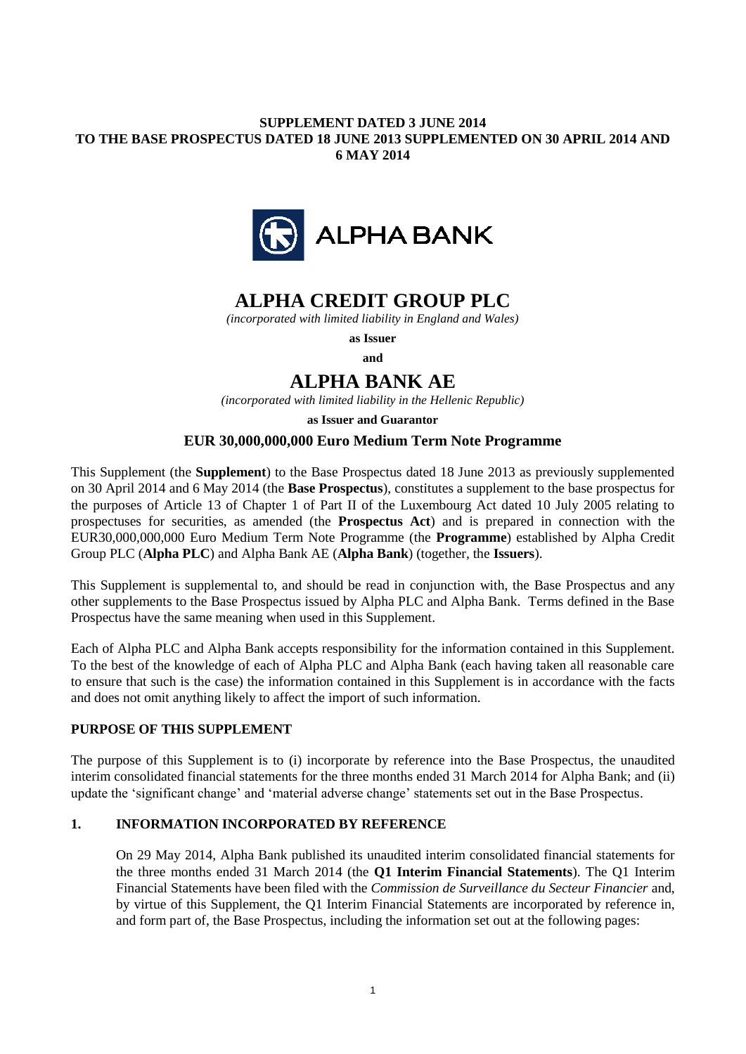## **SUPPLEMENT DATED 3 JUNE 2014 TO THE BASE PROSPECTUS DATED 18 JUNE 2013 SUPPLEMENTED ON 30 APRIL 2014 AND 6 MAY 2014**



# **ALPHA CREDIT GROUP PLC**

*(incorporated with limited liability in England and Wales)*

**as Issuer**

**and**

## **ALPHA BANK AE**

*(incorporated with limited liability in the Hellenic Republic)*

**as Issuer and Guarantor**

## **EUR 30,000,000,000 Euro Medium Term Note Programme**

This Supplement (the **Supplement**) to the Base Prospectus dated 18 June 2013 as previously supplemented on 30 April 2014 and 6 May 2014 (the **Base Prospectus**), constitutes a supplement to the base prospectus for the purposes of Article 13 of Chapter 1 of Part II of the Luxembourg Act dated 10 July 2005 relating to prospectuses for securities, as amended (the **Prospectus Act**) and is prepared in connection with the EUR30,000,000,000 Euro Medium Term Note Programme (the **Programme**) established by Alpha Credit Group PLC (**Alpha PLC**) and Alpha Bank AE (**Alpha Bank**) (together, the **Issuers**).

This Supplement is supplemental to, and should be read in conjunction with, the Base Prospectus and any other supplements to the Base Prospectus issued by Alpha PLC and Alpha Bank. Terms defined in the Base Prospectus have the same meaning when used in this Supplement.

Each of Alpha PLC and Alpha Bank accepts responsibility for the information contained in this Supplement. To the best of the knowledge of each of Alpha PLC and Alpha Bank (each having taken all reasonable care to ensure that such is the case) the information contained in this Supplement is in accordance with the facts and does not omit anything likely to affect the import of such information.

#### **PURPOSE OF THIS SUPPLEMENT**

The purpose of this Supplement is to (i) incorporate by reference into the Base Prospectus, the unaudited interim consolidated financial statements for the three months ended 31 March 2014 for Alpha Bank; and (ii) update the 'significant change' and 'material adverse change' statements set out in the Base Prospectus.

## **1. INFORMATION INCORPORATED BY REFERENCE**

On 29 May 2014, Alpha Bank published its unaudited interim consolidated financial statements for the three months ended 31 March 2014 (the **Q1 Interim Financial Statements**). The Q1 Interim Financial Statements have been filed with the *Commission de Surveillance du Secteur Financier* and, by virtue of this Supplement, the Q1 Interim Financial Statements are incorporated by reference in, and form part of, the Base Prospectus, including the information set out at the following pages: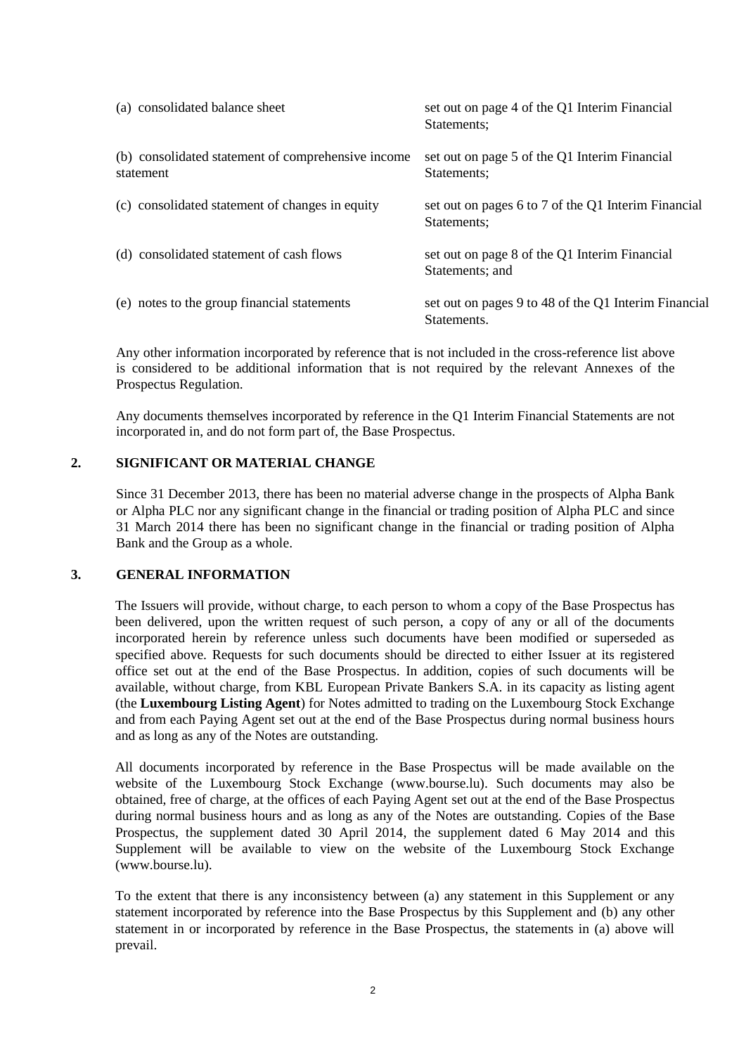| (a) consolidated balance sheet                                  | set out on page 4 of the Q1 Interim Financial<br>Statements:        |
|-----------------------------------------------------------------|---------------------------------------------------------------------|
| (b) consolidated statement of comprehensive income<br>statement | set out on page 5 of the Q1 Interim Financial<br>Statements:        |
| (c) consolidated statement of changes in equity                 | set out on pages 6 to 7 of the Q1 Interim Financial<br>Statements:  |
| (d) consolidated statement of cash flows                        | set out on page 8 of the Q1 Interim Financial<br>Statements; and    |
| (e) notes to the group financial statements                     | set out on pages 9 to 48 of the Q1 Interim Financial<br>Statements. |

Any other information incorporated by reference that is not included in the cross-reference list above is considered to be additional information that is not required by the relevant Annexes of the Prospectus Regulation.

Any documents themselves incorporated by reference in the Q1 Interim Financial Statements are not incorporated in, and do not form part of, the Base Prospectus.

#### **2. SIGNIFICANT OR MATERIAL CHANGE**

Since 31 December 2013, there has been no material adverse change in the prospects of Alpha Bank or Alpha PLC nor any significant change in the financial or trading position of Alpha PLC and since 31 March 2014 there has been no significant change in the financial or trading position of Alpha Bank and the Group as a whole.

#### **3. GENERAL INFORMATION**

The Issuers will provide, without charge, to each person to whom a copy of the Base Prospectus has been delivered, upon the written request of such person, a copy of any or all of the documents incorporated herein by reference unless such documents have been modified or superseded as specified above. Requests for such documents should be directed to either Issuer at its registered office set out at the end of the Base Prospectus. In addition, copies of such documents will be available, without charge, from KBL European Private Bankers S.A. in its capacity as listing agent (the **Luxembourg Listing Agent**) for Notes admitted to trading on the Luxembourg Stock Exchange and from each Paying Agent set out at the end of the Base Prospectus during normal business hours and as long as any of the Notes are outstanding.

All documents incorporated by reference in the Base Prospectus will be made available on the website of the Luxembourg Stock Exchange (www.bourse.lu). Such documents may also be obtained, free of charge, at the offices of each Paying Agent set out at the end of the Base Prospectus during normal business hours and as long as any of the Notes are outstanding. Copies of the Base Prospectus, the supplement dated 30 April 2014, the supplement dated 6 May 2014 and this Supplement will be available to view on the website of the Luxembourg Stock Exchange (www.bourse.lu).

To the extent that there is any inconsistency between (a) any statement in this Supplement or any statement incorporated by reference into the Base Prospectus by this Supplement and (b) any other statement in or incorporated by reference in the Base Prospectus, the statements in (a) above will prevail.